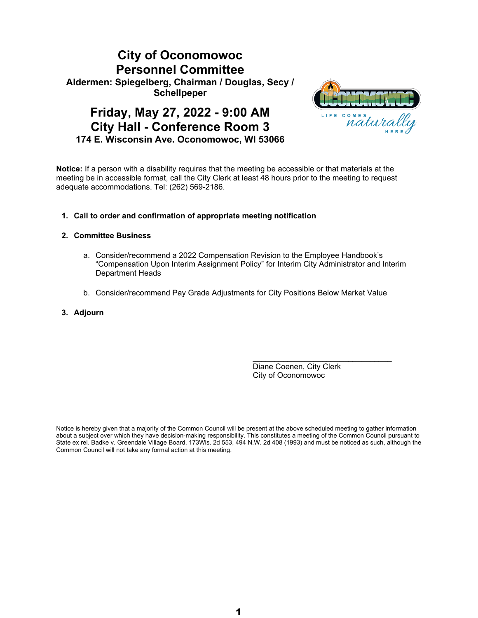### **City of Oconomowoc Personnel Committee Aldermen: Spiegelberg, Chairman / Douglas, Secy / Schellpeper**

### **Friday, May 27, 2022 - 9:00 AM City Hall - Conference Room 3 174 E. Wisconsin Ave. Oconomowoc, WI 53066**



**Notice:** If a person with a disability requires that the meeting be accessible or that materials at the meeting be in accessible format, call the City Clerk at least 48 hours prior to the meeting to request adequate accommodations. Tel: (262) 569-2186.

#### **1. Call to order and confirmation of appropriate meeting notification**

#### **2. Committee Business**

- a. Consider/recommend a 2022 Compensation Revision to the Employee Handbook's "Compensation Upon Interim Assignment Policy" for Interim City Administrator and Interim Department Heads
- b. Consider/recommend Pay Grade Adjustments for City Positions Below Market Value
- **3. Adjourn**

Diane Coenen, City Clerk City of Oconomowoc

\_\_\_\_\_\_\_\_\_\_\_\_\_\_\_\_\_\_\_\_\_\_\_\_\_\_\_\_\_\_\_\_

Notice is hereby given that a majority of the Common Council will be present at the above scheduled meeting to gather information about a subject over which they have decision-making responsibility. This constitutes a meeting of the Common Council pursuant to State ex rel. Badke v. Greendale Village Board, 173Wis. 2d 553, 494 N.W. 2d 408 (1993) and must be noticed as such, although the Common Council will not take any formal action at this meeting.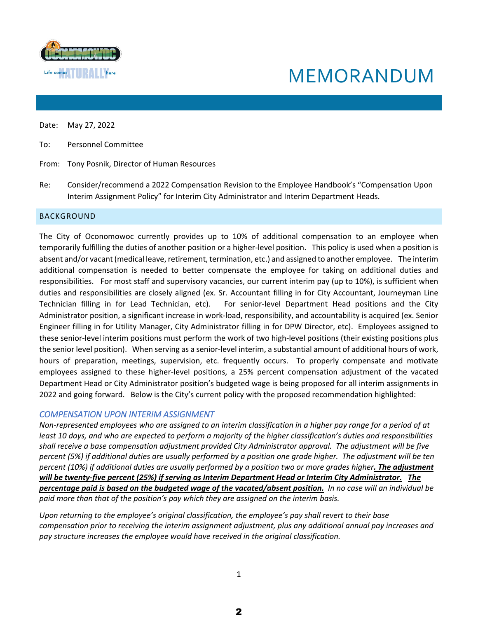

# MEMORANDUM

Date: May 27, 2022

To: Personnel Committee

From: Tony Posnik, Director of Human Resources

Re: Consider/recommend a 2022 Compensation Revision to the Employee Handbook's "Compensation Upon Interim Assignment Policy" for Interim City Administrator and Interim Department Heads.

#### BACKGROUND

The City of Oconomowoc currently provides up to 10% of additional compensation to an employee when temporarily fulfilling the duties of another position or a higher-level position. This policy is used when a position is absent and/or vacant (medical leave, retirement, termination, etc.) and assigned to another employee. The interim additional compensation is needed to better compensate the employee for taking on additional duties and responsibilities. For most staff and supervisory vacancies, our current interim pay (up to 10%), is sufficient when duties and responsibilities are closely aligned (ex. Sr. Accountant filling in for City Accountant, Journeyman Line Technician filling in for Lead Technician, etc). For senior-level Department Head positions and the City Administrator position, a significant increase in work-load, responsibility, and accountability is acquired (ex. Senior Engineer filling in for Utility Manager, City Administrator filling in for DPW Director, etc). Employees assigned to these senior-level interim positions must perform the work of two high-level positions (their existing positions plus the senior level position). When serving as a senior-level interim, a substantial amount of additional hours of work, hours of preparation, meetings, supervision, etc. frequently occurs. To properly compensate and motivate employees assigned to these higher-level positions, a 25% percent compensation adjustment of the vacated Department Head or City Administrator position's budgeted wage is being proposed for all interim assignments in 2022 and going forward. Below is the City's current policy with the proposed recommendation highlighted:

#### *COMPENSATION UPON INTERIM ASSIGNMENT*

*Non-represented employees who are assigned to an interim classification in a higher pay range for a period of at least 10 days, and who are expected to perform a majority of the higher classification's duties and responsibilities shall receive a base compensation adjustment provided City Administrator approval. The adjustment will be five percent (5%) if additional duties are usually performed by a position one grade higher. The adjustment will be ten percent (10%) if additional duties are usually performed by a position two or more grades higher. The adjustment will be twenty-five percent (25%) if serving as Interim Department Head or Interim City Administrator. The percentage paid is based on the budgeted wage of the vacated/absent position. In no case will an individual be paid more than that of the position's pay which they are assigned on the interim basis.*

*Upon returning to the employee's original classification, the employee's pay shall revert to their base compensation prior to receiving the interim assignment adjustment, plus any additional annual pay increases and pay structure increases the employee would have received in the original classification.*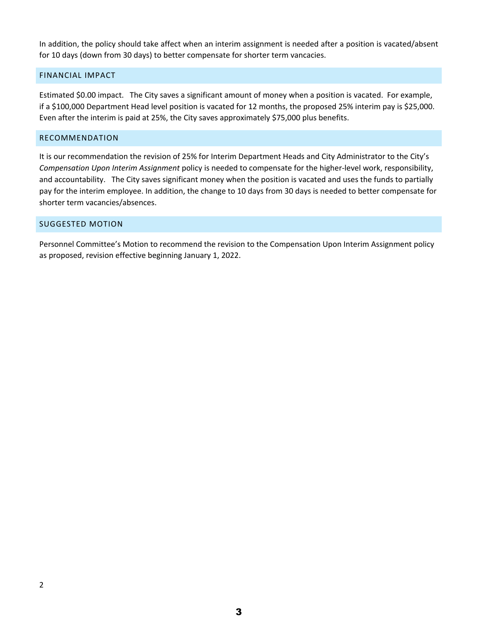In addition, the policy should take affect when an interim assignment is needed after a position is vacated/absent for 10 days (down from 30 days) to better compensate for shorter term vancacies.

#### FINANCIAL IMPACT

Estimated \$0.00 impact. The City saves a significant amount of money when a position is vacated. For example, if a \$100,000 Department Head level position is vacated for 12 months, the proposed 25% interim pay is \$25,000. Even after the interim is paid at 25%, the City saves approximately \$75,000 plus benefits.

#### RECOMMENDATION

It is our recommendation the revision of 25% for Interim Department Heads and City Administrator to the City's *Compensation Upon Interim Assignment* policy is needed to compensate for the higher-level work, responsibility, and accountability. The City saves significant money when the position is vacated and uses the funds to partially pay for the interim employee. In addition, the change to 10 days from 30 days is needed to better compensate for shorter term vacancies/absences.

#### SUGGESTED MOTION

Personnel Committee's Motion to recommend the revision to the Compensation Upon Interim Assignment policy as proposed, revision effective beginning January 1, 2022.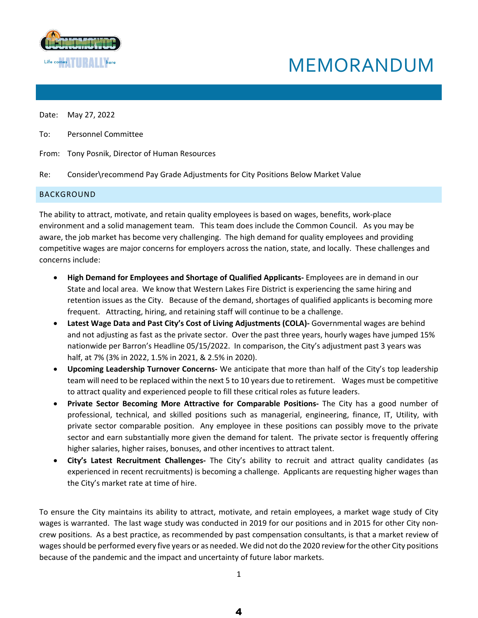

## MEMORANDUM

Date: May 27, 2022

- To: Personnel Committee
- From: Tony Posnik, Director of Human Resources
- Re: Consider\recommend Pay Grade Adjustments for City Positions Below Market Value

#### BACKGROUND

The ability to attract, motivate, and retain quality employees is based on wages, benefits, work-place environment and a solid management team. This team does include the Common Council. As you may be aware, the job market has become very challenging. The high demand for quality employees and providing competitive wages are major concerns for employers across the nation, state, and locally. These challenges and concerns include:

- **High Demand for Employees and Shortage of Qualified Applicants-** Employees are in demand in our State and local area. We know that Western Lakes Fire District is experiencing the same hiring and retention issues as the City. Because of the demand, shortages of qualified applicants is becoming more frequent. Attracting, hiring, and retaining staff will continue to be a challenge.
- **Latest Wage Data and Past City's Cost of Living Adjustments (COLA)-** Governmental wages are behind and not adjusting as fast as the private sector. Over the past three years, hourly wages have jumped 15% nationwide per Barron's Headline 05/15/2022. In comparison, the City's adjustment past 3 years was half, at 7% (3% in 2022, 1.5% in 2021, & 2.5% in 2020).
- **Upcoming Leadership Turnover Concerns-** We anticipate that more than half of the City's top leadership team will need to be replaced within the next 5 to 10 years due to retirement. Wages must be competitive to attract quality and experienced people to fill these critical roles as future leaders.
- **Private Sector Becoming More Attractive for Comparable Positions-** The City has a good number of professional, technical, and skilled positions such as managerial, engineering, finance, IT, Utility, with private sector comparable position. Any employee in these positions can possibly move to the private sector and earn substantially more given the demand for talent. The private sector is frequently offering higher salaries, higher raises, bonuses, and other incentives to attract talent.
- **City's Latest Recruitment Challenges-** The City's ability to recruit and attract quality candidates (as experienced in recent recruitments) is becoming a challenge. Applicants are requesting higher wages than the City's market rate at time of hire.

To ensure the City maintains its ability to attract, motivate, and retain employees, a market wage study of City wages is warranted. The last wage study was conducted in 2019 for our positions and in 2015 for other City noncrew positions. As a best practice, as recommended by past compensation consultants, is that a market review of wages should be performed every five years or as needed. We did not do the 2020 review for the other City positions because of the pandemic and the impact and uncertainty of future labor markets.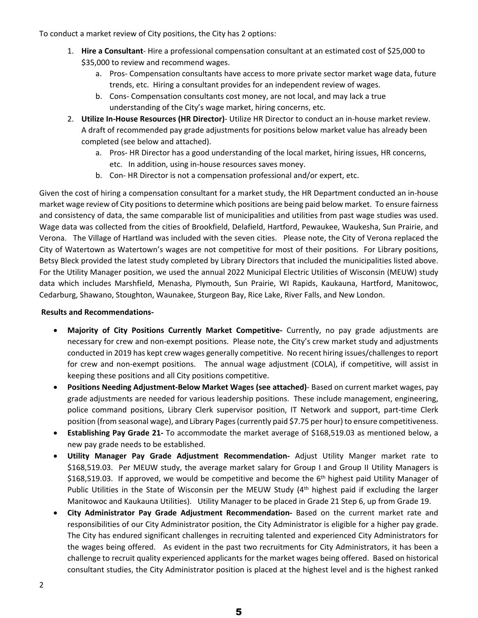To conduct a market review of City positions, the City has 2 options:

- 1. **Hire a Consultant** Hire a professional compensation consultant at an estimated cost of \$25,000 to \$35,000 to review and recommend wages.
	- a. Pros- Compensation consultants have access to more private sector market wage data, future trends, etc. Hiring a consultant provides for an independent review of wages.
	- b. Cons- Compensation consultants cost money, are not local, and may lack a true understanding of the City's wage market, hiring concerns, etc.
- 2. **Utilize In-House Resources (HR Director)** Utilize HR Director to conduct an in-house market review. A draft of recommended pay grade adjustments for positions below market value has already been completed (see below and attached).
	- a. Pros- HR Director has a good understanding of the local market, hiring issues, HR concerns, etc. In addition, using in-house resources saves money.
	- b. Con- HR Director is not a compensation professional and/or expert, etc.

Given the cost of hiring a compensation consultant for a market study, the HR Department conducted an in-house market wage review of City positions to determine which positions are being paid below market. To ensure fairness and consistency of data, the same comparable list of municipalities and utilities from past wage studies was used. Wage data was collected from the cities of Brookfield, Delafield, Hartford, Pewaukee, Waukesha, Sun Prairie, and Verona. The Village of Hartland was included with the seven cities. Please note, the City of Verona replaced the City of Watertown as Watertown's wages are not competitive for most of their positions. For Library positions, Betsy Bleck provided the latest study completed by Library Directors that included the municipalities listed above. For the Utility Manager position, we used the annual 2022 Municipal Electric Utilities of Wisconsin (MEUW) study data which includes Marshfield, Menasha, Plymouth, Sun Prairie, WI Rapids, Kaukauna, Hartford, Manitowoc, Cedarburg, Shawano, Stoughton, Waunakee, Sturgeon Bay, Rice Lake, River Falls, and New London.

#### **Results and Recommendations-**

- **Majority of City Positions Currently Market Competitive-** Currently, no pay grade adjustments are necessary for crew and non-exempt positions. Please note, the City's crew market study and adjustments conducted in 2019 has kept crew wages generally competitive. No recent hiring issues/challenges to report for crew and non-exempt positions. The annual wage adjustment (COLA), if competitive, will assist in keeping these positions and all City positions competitive.
- **Positions Needing Adjustment-Below Market Wages (see attached)** Based on current market wages, pay grade adjustments are needed for various leadership positions. These include management, engineering, police command positions, Library Clerk supervisor position, IT Network and support, part-time Clerk position (from seasonal wage), and Library Pages (currently paid \$7.75 per hour) to ensure competitiveness.
- **Establishing Pay Grade 21-** To accommodate the market average of \$168,519.03 as mentioned below, a new pay grade needs to be established.
- **Utility Manager Pay Grade Adjustment Recommendation-** Adjust Utility Manger market rate to \$168,519.03. Per MEUW study, the average market salary for Group I and Group II Utility Managers is  $$168,519.03$ . If approved, we would be competitive and become the  $6<sup>th</sup>$  highest paid Utility Manager of Public Utilities in the State of Wisconsin per the MEUW Study (4<sup>th</sup> highest paid if excluding the larger Manitowoc and Kaukauna Utilities). Utility Manager to be placed in Grade 21 Step 6, up from Grade 19.
- **City Administrator Pay Grade Adjustment Recommendation-** Based on the current market rate and responsibilities of our City Administrator position, the City Administrator is eligible for a higher pay grade. The City has endured significant challenges in recruiting talented and experienced City Administrators for the wages being offered. As evident in the past two recruitments for City Administrators, it has been a challenge to recruit quality experienced applicants for the market wages being offered. Based on historical consultant studies, the City Administrator position is placed at the highest level and is the highest ranked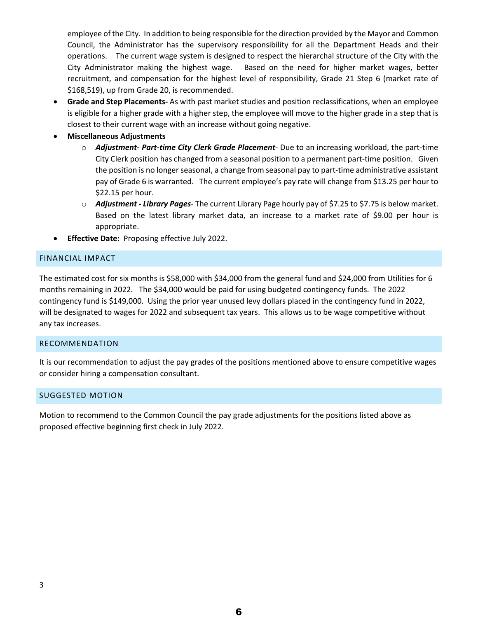employee of the City. In addition to being responsible for the direction provided by the Mayor and Common Council, the Administrator has the supervisory responsibility for all the Department Heads and their operations. The current wage system is designed to respect the hierarchal structure of the City with the City Administrator making the highest wage. Based on the need for higher market wages, better recruitment, and compensation for the highest level of responsibility, Grade 21 Step 6 (market rate of \$168,519), up from Grade 20, is recommended.

- **Grade and Step Placements-** As with past market studies and position reclassifications, when an employee is eligible for a higher grade with a higher step, the employee will move to the higher grade in a step that is closest to their current wage with an increase without going negative.
- **Miscellaneous Adjustments**
	- o *Adjustment- Part-time City Clerk Grade Placement* Due to an increasing workload, the part-time City Clerk position has changed from a seasonal position to a permanent part-time position. Given the position is no longer seasonal, a change from seasonal pay to part-time administrative assistant pay of Grade 6 is warranted. The current employee's pay rate will change from \$13.25 per hour to \$22.15 per hour.
	- o *Adjustment Library Pages* The current Library Page hourly pay of \$7.25 to \$7.75 is below market. Based on the latest library market data, an increase to a market rate of \$9.00 per hour is appropriate.
- **Effective Date:** Proposing effective July 2022.

#### FINANCIAL IMPACT

The estimated cost for six months is \$58,000 with \$34,000 from the general fund and \$24,000 from Utilities for 6 months remaining in 2022. The \$34,000 would be paid for using budgeted contingency funds. The 2022 contingency fund is \$149,000. Using the prior year unused levy dollars placed in the contingency fund in 2022, will be designated to wages for 2022 and subsequent tax years. This allows us to be wage competitive without any tax increases.

#### RECOMMENDATION

It is our recommendation to adjust the pay grades of the positions mentioned above to ensure competitive wages or consider hiring a compensation consultant.

#### SUGGESTED MOTION

Motion to recommend to the Common Council the pay grade adjustments for the positions listed above as proposed effective beginning first check in July 2022.